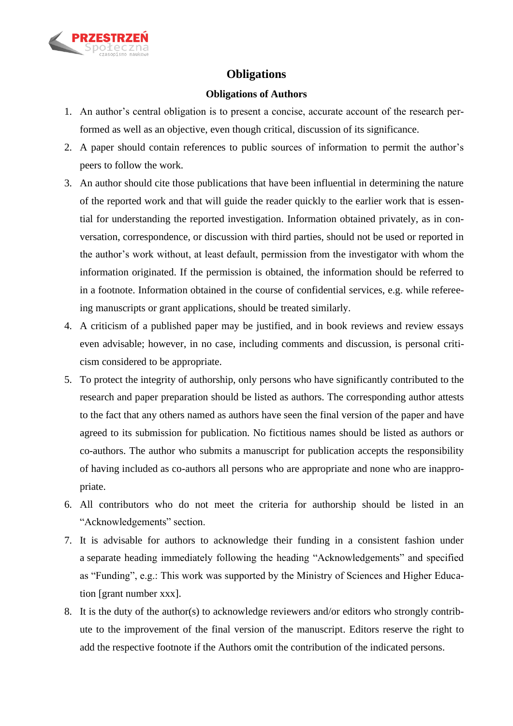

# **Obligations**

### **Obligations of Authors**

- 1. An author's central obligation is to present a concise, accurate account of the research performed as well as an objective, even though critical, discussion of its significance.
- 2. A paper should contain references to public sources of information to permit the author's peers to follow the work.
- 3. An author should cite those publications that have been influential in determining the nature of the reported work and that will guide the reader quickly to the earlier work that is essential for understanding the reported investigation. Information obtained privately, as in conversation, correspondence, or discussion with third parties, should not be used or reported in the author's work without, at least default, permission from the investigator with whom the information originated. If the permission is obtained, the information should be referred to in a footnote. Information obtained in the course of confidential services, e.g. while refereeing manuscripts or grant applications, should be treated similarly.
- 4. A criticism of a published paper may be justified, and in book reviews and review essays even advisable; however, in no case, including comments and discussion, is personal criticism considered to be appropriate.
- 5. To protect the integrity of authorship, only persons who have significantly contributed to the research and paper preparation should be listed as authors. The corresponding author attests to the fact that any others named as authors have seen the final version of the paper and have agreed to its submission for publication. No fictitious names should be listed as authors or co-authors. The author who submits a manuscript for publication accepts the responsibility of having included as co-authors all persons who are appropriate and none who are inappropriate.
- 6. All contributors who do not meet the criteria for authorship should be listed in an "Acknowledgements" section.
- 7. It is advisable for authors to acknowledge their funding in a consistent fashion under a separate heading immediately following the heading "Acknowledgements" and specified as "Funding", e.g.: This work was supported by the Ministry of Sciences and Higher Education [grant number xxx].
- 8. It is the duty of the author(s) to acknowledge reviewers and/or editors who strongly contribute to the improvement of the final version of the manuscript. Editors reserve the right to add the respective footnote if the Authors omit the contribution of the indicated persons.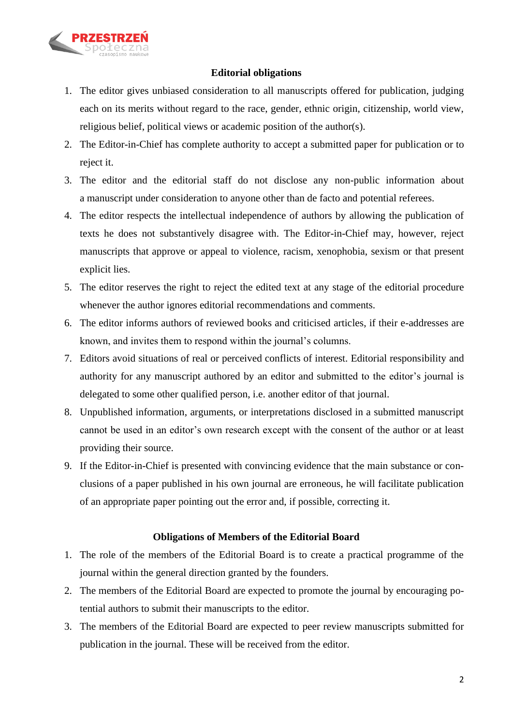

# **Editorial obligations**

- 1. The editor gives unbiased consideration to all manuscripts offered for publication, judging each on its merits without regard to the race, gender, ethnic origin, citizenship, world view, religious belief, political views or academic position of the author(s).
- 2. The Editor-in-Chief has complete authority to accept a submitted paper for publication or to reject it.
- 3. The editor and the editorial staff do not disclose any non-public information about a manuscript under consideration to anyone other than de facto and potential referees.
- 4. The editor respects the intellectual independence of authors by allowing the publication of texts he does not substantively disagree with. The Editor-in-Chief may, however, reject manuscripts that approve or appeal to violence, racism, xenophobia, sexism or that present explicit lies.
- 5. The editor reserves the right to reject the edited text at any stage of the editorial procedure whenever the author ignores editorial recommendations and comments.
- 6. The editor informs authors of reviewed books and criticised articles, if their e-addresses are known, and invites them to respond within the journal's columns.
- 7. Editors avoid situations of real or perceived conflicts of interest. Editorial responsibility and authority for any manuscript authored by an editor and submitted to the editor's journal is delegated to some other qualified person, i.e. another editor of that journal.
- 8. Unpublished information, arguments, or interpretations disclosed in a submitted manuscript cannot be used in an editor's own research except with the consent of the author or at least providing their source.
- 9. If the Editor-in-Chief is presented with convincing evidence that the main substance or conclusions of a paper published in his own journal are erroneous, he will facilitate publication of an appropriate paper pointing out the error and, if possible, correcting it.

## **Obligations of Members of the Editorial Board**

- 1. The role of the members of the Editorial Board is to create a practical programme of the journal within the general direction granted by the founders.
- 2. The members of the Editorial Board are expected to promote the journal by encouraging potential authors to submit their manuscripts to the editor.
- 3. The members of the Editorial Board are expected to peer review manuscripts submitted for publication in the journal. These will be received from the editor.